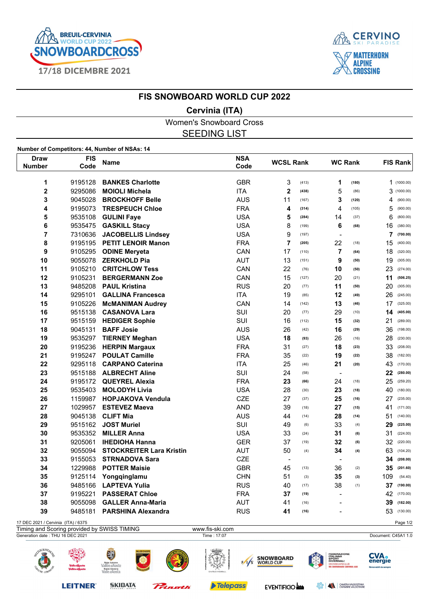



## **FIS SNOWBOARD WORLD CUP 2022**

## **Cervinia (ITA)**

Women's Snowboard Cross SEEDING LIST

**Number of Competitors: 44, Number of NSAs: 14**

| <b>Draw</b><br><b>Number</b>        | <b>FIS</b><br>Code | Name                                         | <b>NSA</b><br>Code | <b>WCSL Rank</b> |       | <b>WC Rank</b>           |       | <b>FIS Rank</b> |            |
|-------------------------------------|--------------------|----------------------------------------------|--------------------|------------------|-------|--------------------------|-------|-----------------|------------|
|                                     |                    |                                              |                    |                  |       |                          |       |                 |            |
| 1                                   | 9195128            | <b>BANKES Charlotte</b>                      | <b>GBR</b>         | 3                | (413) | 1                        | (180) |                 | 1(1000.00) |
| $\overline{\mathbf{2}}$             | 9295086            | <b>MOIOLI Michela</b>                        | <b>ITA</b>         | $\mathbf 2$      | (438) | 5                        | (86)  |                 | 3(1000.00) |
| 3                                   | 9045028            | <b>BROCKHOFF Belle</b>                       | <b>AUS</b>         | 11               | (167) | 3                        | (120) | 4               | (900.00)   |
| 4                                   | 9195073            | <b>TRESPEUCH Chloe</b>                       | <b>FRA</b>         | 4                | (314) | 4                        | (105) | 5               | (900.00)   |
| 5                                   | 9535108            | <b>GULINI Faye</b>                           | <b>USA</b>         | 5                | (284) | 14                       | (37)  | 6               | (800.00)   |
| 6                                   | 9535475            | <b>GASKILL Stacy</b>                         | <b>USA</b>         | 8                | (199) | 6                        | (68)  | 16              | (380.00)   |
| 7                                   | 7310636            | <b>JACOBELLIS Lindsey</b>                    | <b>USA</b>         | 9                | (197) | $\blacksquare$           |       | 7               | (700.00)   |
| 8                                   | 9195195            | <b>PETIT LENOIR Manon</b>                    | <b>FRA</b>         | 7                | (205) | 22                       | (18)  | 15              | (400.00)   |
| 9                                   | 9105295            | <b>ODINE Meryeta</b>                         | CAN                | 17               | (110) | 7                        | (64)  | 18              | (320.00)   |
| 10                                  |                    | 9055078 ZERKHOLD Pia                         | AUT                | 13               | (151) | 9                        | (50)  | 19              | (305.00)   |
| 11                                  |                    | 9105210 CRITCHLOW Tess                       | CAN                | 22               | (76)  | 10                       | (50)  | 23              | (274.00)   |
| 12                                  | 9105231            | <b>BERGERMANN Zoe</b>                        | CAN                | 15               | (127) | 20                       | (21)  | 11              | (506.25)   |
| 13                                  | 9485208            | <b>PAUL Kristina</b>                         | <b>RUS</b>         | 20               | (77)  | 11                       | (50)  | 20              | (305.00)   |
| 14                                  | 9295101            | <b>GALLINA Francesca</b>                     | <b>ITA</b>         | 19               | (85)  | 12                       | (49)  | 26              | (245.00)   |
| 15                                  | 9105226            | <b>McMANIMAN Audrey</b>                      | CAN                | 14               | (142) | 13                       | (46)  | 17              | (325.00)   |
| 16                                  | 9515138            | <b>CASANOVA Lara</b>                         | <b>SUI</b>         | 20               | (77)  | 29                       | (10)  | 14              | (405.00)   |
| 17                                  | 9515159            | <b>HEDIGER Sophie</b>                        | SUI                | 16               | (112) | 15                       | (32)  | 21              | (289.00)   |
| 18                                  | 9045131            | <b>BAFF Josie</b>                            | <b>AUS</b>         | 26               | (42)  | 16                       | (29)  | 36              | (198.00)   |
| 19                                  | 9535297            | <b>TIERNEY Meghan</b>                        | <b>USA</b>         | 18               | (93)  | 26                       | (16)  | 28              | (230.00)   |
| 20                                  | 9195236            | <b>HERPIN Margaux</b>                        | <b>FRA</b>         | 31               | (27)  | 18                       | (23)  | 33              | (208.00)   |
| 21                                  | 9195247            | <b>POULAT Camille</b>                        | <b>FRA</b>         | 35               | (22)  | 19                       | (22)  | 38              | (182.00)   |
| 22                                  | 9295118            | <b>CARPANO Caterina</b>                      | <b>ITA</b>         | 25               | (46)  | 21                       | (20)  | 43              | (170.00)   |
| 23                                  | 9515188            | <b>ALBRECHT Aline</b>                        | SUI                | 24               | (58)  | $\blacksquare$           |       | 22              | (280.00)   |
| 24                                  |                    | 9195172 QUEYREL Alexia                       | <b>FRA</b>         | 23               | (66)  | 24                       | (18)  | 25              | (259.20)   |
| 25                                  | 9535403            | <b>MOLODYH Livia</b>                         | <b>USA</b>         | 28               | (30)  | 23                       | (18)  | 40              | (180.00)   |
| 26                                  | 1159987            | <b>HOPJAKOVA Vendula</b>                     | <b>CZE</b>         | 27               | (37)  | 25                       | (16)  | 27              | (235.00)   |
| 27                                  | 1029957            | <b>ESTEVEZ Maeva</b>                         | <b>AND</b>         | 39               | (18)  | 27                       | (15)  | 41              | (171.00)   |
| 28                                  | 9045138            | <b>CLIFT Mia</b>                             | <b>AUS</b>         | 44               | (14)  | 28                       | (14)  | 51              | (140.00)   |
| 29                                  | 9515162            | <b>JOST Muriel</b>                           | SUI                | 49               | (6)   | 33                       | (4)   | 29              | (225.00)   |
| 30                                  | 9535352            | <b>MILLER Anna</b>                           | <b>USA</b>         | 33               | (24)  | 31                       | (6)   | 31              | (224.00)   |
| 31                                  | 9205061            | <b>IHEDIOHA Hanna</b>                        | <b>GER</b>         | 37               | (19)  | 32                       | (6)   | 32              | (220.00)   |
| 32                                  | 9055094            | <b>STOCKREITER Lara Kristin</b>              | <b>AUT</b>         | 50               | (4)   | 34                       | (4)   | 63              | (104.20)   |
| 33                                  | 9155053            | <b>STRNADOVA Sara</b>                        | <b>CZE</b>         | $\blacksquare$   |       | $\blacksquare$           |       | 34              | (208.00)   |
| 34                                  | 1229988            |                                              | <b>GBR</b>         | 45               |       | 36                       |       | 35              |            |
|                                     |                    | <b>POTTER Maisie</b>                         | <b>CHN</b>         |                  | (13)  |                          | (2)   |                 | (201.60)   |
| 35                                  | 9125114            | Yongginglamu                                 |                    | 51               | (3)   | 35                       | (3)   | 109             | (54.40)    |
| 36                                  | 9485166            | <b>LAPTEVA Yulia</b>                         | <b>RUS</b>         | 40               | (17)  | 38                       | (1)   | 37              | (190.00)   |
| 37                                  | 9195221            | <b>PASSERAT Chloe</b>                        | <b>FRA</b>         | 37               | (19)  | $\blacksquare$           |       | 42              | (170.00)   |
| 38                                  | 9055098            | <b>GALLER Anna-Maria</b>                     | <b>AUT</b>         | 41               | (16)  | $\overline{\phantom{0}}$ |       | 39              | (182.00)   |
| 39                                  | 9485181            | <b>PARSHINA Alexandra</b>                    | <b>RUS</b>         | 41               | (16)  |                          |       | 53              | (130.00)   |
| 17 DEC 2021 / Cervinia (ITA) / 6375 |                    | Timing and Cooring provided by CIMICC TIMINO | ussau fio old oom  |                  |       |                          |       |                 | Page 1/2   |



**SKIDATA** 

Princeth

**LEITNER®** 

Felepass

EVENTIFICIO

**BERRY AND CAMERA VALDOSTANA**